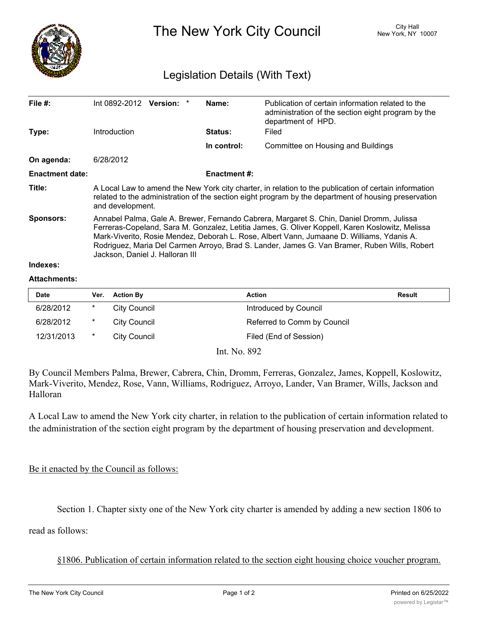

The New York City Council New York, NY 10007

## Legislation Details (With Text)

| File $#$ :             | Int 0892-2012 Version: *                                                                                                                                                                                                                                                                                                                                                                                                    |  |  | Name:               | Publication of certain information related to the<br>administration of the section eight program by the<br>department of HPD. |  |  |
|------------------------|-----------------------------------------------------------------------------------------------------------------------------------------------------------------------------------------------------------------------------------------------------------------------------------------------------------------------------------------------------------------------------------------------------------------------------|--|--|---------------------|-------------------------------------------------------------------------------------------------------------------------------|--|--|
| Type:                  | <b>Introduction</b>                                                                                                                                                                                                                                                                                                                                                                                                         |  |  | <b>Status:</b>      | Filed                                                                                                                         |  |  |
|                        |                                                                                                                                                                                                                                                                                                                                                                                                                             |  |  | In control:         | Committee on Housing and Buildings                                                                                            |  |  |
| On agenda:             | 6/28/2012                                                                                                                                                                                                                                                                                                                                                                                                                   |  |  |                     |                                                                                                                               |  |  |
| <b>Enactment date:</b> |                                                                                                                                                                                                                                                                                                                                                                                                                             |  |  | <b>Enactment #:</b> |                                                                                                                               |  |  |
| Title:                 | A Local Law to amend the New York city charter, in relation to the publication of certain information<br>related to the administration of the section eight program by the department of housing preservation<br>and development.                                                                                                                                                                                           |  |  |                     |                                                                                                                               |  |  |
| Sponsors:<br>Indexes:  | Annabel Palma, Gale A. Brewer, Fernando Cabrera, Margaret S. Chin, Daniel Dromm, Julissa<br>Ferreras-Copeland, Sara M. Gonzalez, Letitia James, G. Oliver Koppell, Karen Koslowitz, Melissa<br>Mark-Viverito, Rosie Mendez, Deborah L. Rose, Albert Vann, Jumaane D. Williams, Ydanis A.<br>Rodriguez, Maria Del Carmen Arroyo, Brad S. Lander, James G. Van Bramer, Ruben Wills, Robert<br>Jackson, Daniel J. Halloran III |  |  |                     |                                                                                                                               |  |  |
|                        |                                                                                                                                                                                                                                                                                                                                                                                                                             |  |  |                     |                                                                                                                               |  |  |

## **Attachments:**

| <b>Date</b> | Ver. | <b>Action By</b>    | <b>Action</b>               | <b>Result</b> |
|-------------|------|---------------------|-----------------------------|---------------|
| 6/28/2012   | *    | City Council        | Introduced by Council       |               |
| 6/28/2012   | *    | City Council        | Referred to Comm by Council |               |
| 12/31/2013  | *    | <b>City Council</b> | Filed (End of Session)      |               |

Int. No. 892

By Council Members Palma, Brewer, Cabrera, Chin, Dromm, Ferreras, Gonzalez, James, Koppell, Koslowitz, Mark-Viverito, Mendez, Rose, Vann, Williams, Rodriguez, Arroyo, Lander, Van Bramer, Wills, Jackson and Halloran

A Local Law to amend the New York city charter, in relation to the publication of certain information related to the administration of the section eight program by the department of housing preservation and development.

## Be it enacted by the Council as follows:

Section 1. Chapter sixty one of the New York city charter is amended by adding a new section 1806 to

read as follows:

§1806. Publication of certain information related to the section eight housing choice voucher program.